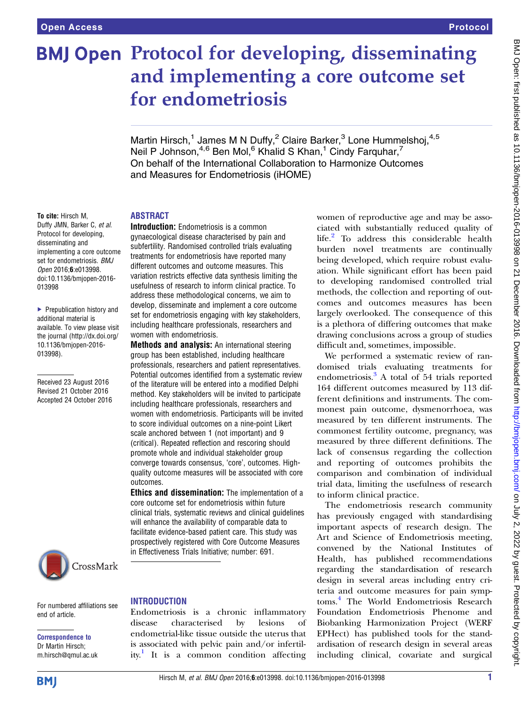# **BMJ Open Protocol for developing, disseminating** and implementing a core outcome set for endometriosis

Martin Hirsch,<sup>1</sup> James M N Duffy,<sup>2</sup> Claire Barker,<sup>3</sup> Lone Hummelshoj,<sup>4,5</sup> Neil P Johnson,<sup>4,6</sup> Ben Mol,<sup>6</sup> Khalid S Khan,<sup>1</sup> Cindy Farquhar,<sup>7</sup> On behalf of the International Collaboration to Harmonize Outcomes and Measures for Endometriosis (iHOME)

# ABSTRACT

**Introduction:** Endometriosis is a common gynaecological disease characterised by pain and subfertility. Randomised controlled trials evaluating treatments for endometriosis have reported many different outcomes and outcome measures. This variation restricts effective data synthesis limiting the usefulness of research to inform clinical practice. To address these methodological concerns, we aim to develop, disseminate and implement a core outcome set for endometriosis engaging with key stakeholders, including healthcare professionals, researchers and

Methods and analysis: An international steering group has been established, including healthcare professionals, researchers and patient representatives. Potential outcomes identified from a systematic review of the literature will be entered into a modified Delphi method. Key stakeholders will be invited to participate including healthcare professionals, researchers and women with endometriosis. Participants will be invited to score individual outcomes on a nine-point Likert scale anchored between 1 (not important) and 9 (critical). Repeated reflection and rescoring should promote whole and individual stakeholder group converge towards consensus, 'core', outcomes. Highquality outcome measures will be associated with core

women with endometriosis.

To cite: Hirsch M, Duffy JMN, Barker C, et al. Protocol for developing, disseminating and implementing a core outcome set for endometriosis. BMJ Open 2016;6:e013998. doi:10.1136/bmjopen-2016- 013998

▶ Prepublication history and additional material is available. To view please visit the journal [\(http://dx.doi.org/](http://dx.doi.org/10.1136/bmjopen-2016-013998) [10.1136/bmjopen-2016-](http://dx.doi.org/10.1136/bmjopen-2016-013998) [013998\)](http://dx.doi.org/10.1136/bmjopen-2016-013998).

Received 23 August 2016 Revised 21 October 2016 Accepted 24 October 2016



For numbered affiliations see end of article.

#### Correspondence to Dr Martin Hirsch; m.hirsch@qmul.ac.uk

# **INTRODUCTION**

outcomes.

Endometriosis is a chronic inflammatory disease characterised by lesions of endometrial-like tissue outside the uterus that is associated with pelvic pain and/or infertil-ity.<sup>[1](#page-4-0)</sup> It is a common condition affecting

**Ethics and dissemination:** The implementation of a core outcome set for endometriosis within future clinical trials, systematic reviews and clinical guidelines will enhance the availability of comparable data to facilitate evidence-based patient care. This study was prospectively registered with Core Outcome Measures in Effectiveness Trials Initiative; number: 691.

women of reproductive age and may be associated with substantially reduced quality of life.<sup>[2](#page-4-0)</sup> To address this considerable health burden novel treatments are continually being developed, which require robust evaluation. While significant effort has been paid to developing randomised controlled trial methods, the collection and reporting of outcomes and outcomes measures has been largely overlooked. The consequence of this is a plethora of differing outcomes that make drawing conclusions across a group of studies difficult and, sometimes, impossible.

We performed a systematic review of randomised trials evaluating treatments for endometriosis.[3](#page-4-0) A total of 54 trials reported 164 different outcomes measured by 113 different definitions and instruments. The commonest pain outcome, dysmenorrhoea, was measured by ten different instruments. The commonest fertility outcome, pregnancy, was measured by three different definitions. The lack of consensus regarding the collection and reporting of outcomes prohibits the comparison and combination of individual trial data, limiting the usefulness of research to inform clinical practice.

The endometriosis research community has previously engaged with standardising important aspects of research design. The Art and Science of Endometriosis meeting, convened by the National Institutes of Health, has published recommendations regarding the standardisation of research design in several areas including entry criteria and outcome measures for pain symptoms.[4](#page-4-0) The World Endometriosis Research Foundation Endometriosis Phenome and Biobanking Harmonization Project (WERF EPHect) has published tools for the standardisation of research design in several areas including clinical, covariate and surgical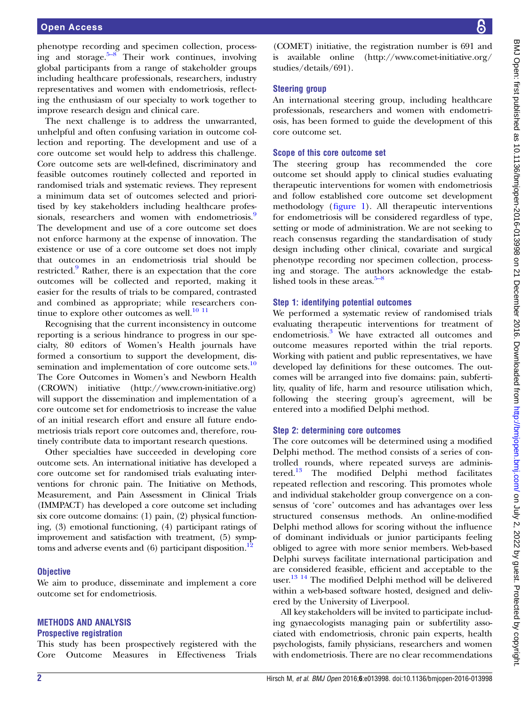phenotype recording and specimen collection, processing and storage. $5-8$  $5-8$  Their work continues, involving global participants from a range of stakeholder groups including healthcare professionals, researchers, industry representatives and women with endometriosis, reflecting the enthusiasm of our specialty to work together to improve research design and clinical care.

The next challenge is to address the unwarranted, unhelpful and often confusing variation in outcome collection and reporting. The development and use of a core outcome set would help to address this challenge. Core outcome sets are well-defined, discriminatory and feasible outcomes routinely collected and reported in randomised trials and systematic reviews. They represent a minimum data set of outcomes selected and prioritised by key stakeholders including healthcare profes-sionals, researchers and women with endometriosis.<sup>[9](#page-4-0)</sup> The development and use of a core outcome set does not enforce harmony at the expense of innovation. The existence or use of a core outcome set does not imply that outcomes in an endometriosis trial should be restricted.<sup>[9](#page-4-0)</sup> Rather, there is an expectation that the core outcomes will be collected and reported, making it easier for the results of trials to be compared, contrasted and combined as appropriate; while researchers continue to explore other outcomes as well. $^{10}$   $^{11}$ 

Recognising that the current inconsistency in outcome reporting is a serious hindrance to progress in our specialty, 80 editors of Women's Health journals have formed a consortium to support the development, dis-semination and implementation of core outcome sets.<sup>[10](#page-4-0)</sup> The Core Outcomes in Women's and Newborn Health (CROWN) initiative [\(http://www.crown-initiative.org\)](http://www.crown-initiative.org) will support the dissemination and implementation of a core outcome set for endometriosis to increase the value of an initial research effort and ensure all future endometriosis trials report core outcomes and, therefore, routinely contribute data to important research questions.

Other specialties have succeeded in developing core outcome sets. An international initiative has developed a core outcome set for randomised trials evaluating interventions for chronic pain. The Initiative on Methods, Measurement, and Pain Assessment in Clinical Trials (IMMPACT) has developed a core outcome set including six core outcome domains: (1) pain, (2) physical functioning, (3) emotional functioning, (4) participant ratings of improvement and satisfaction with treatment, (5) symptoms and adverse events and  $(6)$  participant disposition.<sup>12</sup>

#### **Objective**

We aim to produce, disseminate and implement a core outcome set for endometriosis.

# METHODS AND ANALYSIS

#### Prospective registration

This study has been prospectively registered with the Core Outcome Measures in Effectiveness Trials

(COMET) initiative, the registration number is 691 and is available online [\(http://www.comet-initiative.org/](http://www.comet-initiative.org/studies/details/691) [studies/details/691](http://www.comet-initiative.org/studies/details/691)).

# Steering group

An international steering group, including healthcare professionals, researchers and women with endometriosis, has been formed to guide the development of this core outcome set.

### Scope of this core outcome set

The steering group has recommended the core outcome set should apply to clinical studies evaluating therapeutic interventions for women with endometriosis and follow established core outcome set development methodology (fi[gure 1](#page-2-0)). All therapeutic interventions for endometriosis will be considered regardless of type, setting or mode of administration. We are not seeking to reach consensus regarding the standardisation of study design including other clinical, covariate and surgical phenotype recording nor specimen collection, processing and storage. The authors acknowledge the established tools in these areas. $5-8$  $5-8$ 

# Step 1: identifying potential outcomes

We performed a systematic review of randomised trials evaluating therapeutic interventions for treatment of endometriosis.[3](#page-4-0) We have extracted all outcomes and outcome measures reported within the trial reports. Working with patient and public representatives, we have developed lay definitions for these outcomes. The outcomes will be arranged into five domains: pain, subfertility, quality of life, harm and resource utilisation which, following the steering group's agreement, will be entered into a modified Delphi method.

### Step 2: determining core outcomes

The core outcomes will be determined using a modified Delphi method. The method consists of a series of controlled rounds, where repeated surveys are adminis-tered.<sup>[13](#page-4-0)</sup> The modified Delphi method facilitates repeated reflection and rescoring. This promotes whole and individual stakeholder group convergence on a consensus of 'core' outcomes and has advantages over less structured consensus methods. An online-modified Delphi method allows for scoring without the influence of dominant individuals or junior participants feeling obliged to agree with more senior members. Web-based Delphi surveys facilitate international participation and are considered feasible, efficient and acceptable to the user.<sup>[13 14](#page-4-0)</sup> The modified Delphi method will be delivered within a web-based software hosted, designed and delivered by the University of Liverpool.

All key stakeholders will be invited to participate including gynaecologists managing pain or subfertility associated with endometriosis, chronic pain experts, health psychologists, family physicians, researchers and women with endometriosis. There are no clear recommendations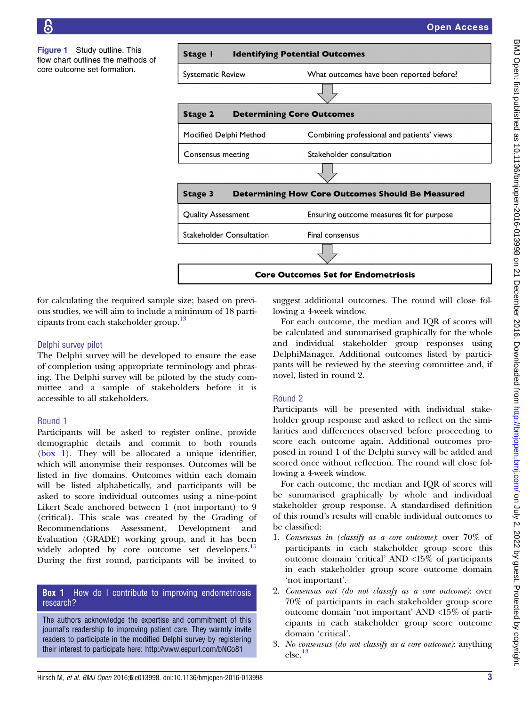<span id="page-2-0"></span>Figure 1 Study outline. This flow chart outlines the methods of core outcome set formation.





for calculating the required sample size; based on previous studies, we will aim to include a minimum of 18 parti-cipants from each stakeholder group.<sup>[13](#page-4-0)</sup>

# Delphi survey pilot

The Delphi survey will be developed to ensure the ease of completion using appropriate terminology and phrasing. The Delphi survey will be piloted by the study committee and a sample of stakeholders before it is accessible to all stakeholders.

# Round 1

Participants will be asked to register online, provide demographic details and commit to both rounds (box 1). They will be allocated a unique identifier, which will anonymise their responses. Outcomes will be listed in five domains. Outcomes within each domain will be listed alphabetically, and participants will be asked to score individual outcomes using a nine-point Likert Scale anchored between 1 (not important) to 9 (critical). This scale was created by the Grading of Recommendations Assessment, Development and Evaluation (GRADE) working group, and it has been widely adopted by core outcome set developers.<sup>[15](#page-4-0)</sup> During the first round, participants will be invited to

# **Box 1** How do I contribute to improving endometriosis research?

The authors acknowledge the expertise and commitment of this journal's readership to improving patient care. They warmly invite readers to participate in the modified Delphi survey by registering their interest to participate here: http://www.eepurl.com/bNCo81

suggest additional outcomes. The round will close following a 4-week window.

For each outcome, the median and IQR of scores will be calculated and summarised graphically for the whole and individual stakeholder group responses using DelphiManager. Additional outcomes listed by participants will be reviewed by the steering committee and, if novel, listed in round 2.

# Round 2

Participants will be presented with individual stakeholder group response and asked to reflect on the similarities and differences observed before proceeding to score each outcome again. Additional outcomes proposed in round 1 of the Delphi survey will be added and scored once without reflection. The round will close following a 4-week window.

For each outcome, the median and IQR of scores will be summarised graphically by whole and individual stakeholder group response. A standardised definition of this round's results will enable individual outcomes to be classified:

- 1. Consensus in (classify as a core outcome): over 70% of participants in each stakeholder group score this outcome domain 'critical' AND <15% of participants in each stakeholder group score outcome domain 'not important'.
- 2. Consensus out (do not classify as a core outcome): over 70% of participants in each stakeholder group score outcome domain 'not important' AND <15% of participants in each stakeholder group score outcome domain 'critical'.
- 3. No consensus (do not classify as a core outcome): anything else.[13](#page-4-0)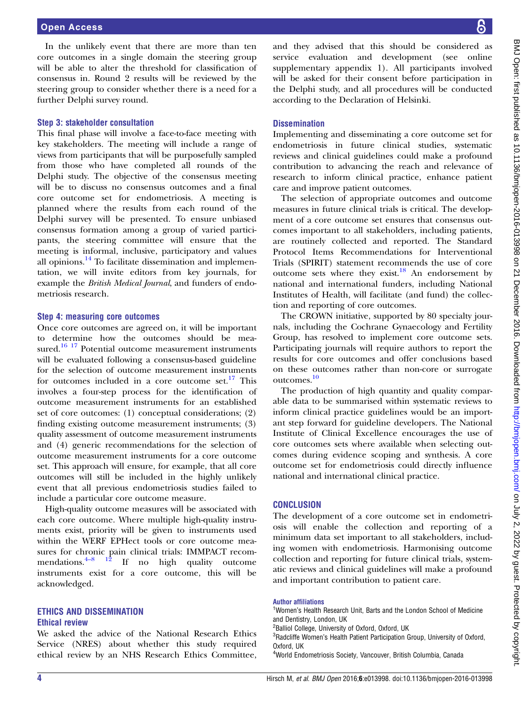In the unlikely event that there are more than ten core outcomes in a single domain the steering group will be able to alter the threshold for classification of consensus in. Round 2 results will be reviewed by the steering group to consider whether there is a need for a further Delphi survey round.

### Step 3: stakeholder consultation

This final phase will involve a face-to-face meeting with key stakeholders. The meeting will include a range of views from participants that will be purposefully sampled from those who have completed all rounds of the Delphi study. The objective of the consensus meeting will be to discuss no consensus outcomes and a final core outcome set for endometriosis. A meeting is planned where the results from each round of the Delphi survey will be presented. To ensure unbiased consensus formation among a group of varied participants, the steering committee will ensure that the meeting is informal, inclusive, participatory and values all opinions. $^{14}$  To facilitate dissemination and implementation, we will invite editors from key journals, for example the British Medical Journal, and funders of endometriosis research.

### Step 4: measuring core outcomes

Once core outcomes are agreed on, it will be important to determine how the outcomes should be mea-sured.<sup>[16 17](#page-4-0)</sup> Potential outcome measurement instruments will be evaluated following a consensus-based guideline for the selection of outcome measurement instruments for outcomes included in a core outcome set.<sup>[17](#page-4-0)</sup> This involves a four-step process for the identification of outcome measurement instruments for an established set of core outcomes: (1) conceptual considerations; (2) finding existing outcome measurement instruments; (3) quality assessment of outcome measurement instruments and (4) generic recommendations for the selection of outcome measurement instruments for a core outcome set. This approach will ensure, for example, that all core outcomes will still be included in the highly unlikely event that all previous endometriosis studies failed to include a particular core outcome measure.

High-quality outcome measures will be associated with each core outcome. Where multiple high-quality instruments exist, priority will be given to instruments used within the WERF EPHect tools or core outcome measures for c[hron](#page-4-0)ic pain clinical trials: IMMPACT recom-<br>mendations.<sup>4-8</sup> <sup>12</sup> If no high quality outcome If no high quality outcome instruments exist for a core outcome, this will be acknowledged.

#### ETHICS AND DISSEMINATION Ethical review

We asked the advice of the National Research Ethics Service (NRES) about whether this study required ethical review by an NHS Research Ethics Committee,

and they advised that this should be considered as service evaluation and development (see online [supplementary appendix 1](http://dx.doi.org/10.1136/bmjopen-2016-013998)). All participants involved will be asked for their consent before participation in the Delphi study, and all procedures will be conducted according to the Declaration of Helsinki.

## **Dissemination**

Implementing and disseminating a core outcome set for endometriosis in future clinical studies, systematic reviews and clinical guidelines could make a profound contribution to advancing the reach and relevance of research to inform clinical practice, enhance patient care and improve patient outcomes.

The selection of appropriate outcomes and outcome measures in future clinical trials is critical. The development of a core outcome set ensures that consensus outcomes important to all stakeholders, including patients, are routinely collected and reported. The Standard Protocol Items Recommendations for Interventional Trials (SPIRIT) statement recommends the use of core outcome sets where they exist.[18](#page-4-0) An endorsement by national and international funders, including National Institutes of Health, will facilitate (and fund) the collection and reporting of core outcomes.

The CROWN initiative, supported by 80 specialty journals, including the Cochrane Gynaecology and Fertility Group, has resolved to implement core outcome sets. Participating journals will require authors to report the results for core outcomes and offer conclusions based on these outcomes rather than non-core or surrogate outcomes.[10](#page-4-0)

The production of high quantity and quality comparable data to be summarised within systematic reviews to inform clinical practice guidelines would be an important step forward for guideline developers. The National Institute of Clinical Excellence encourages the use of core outcomes sets where available when selecting outcomes during evidence scoping and synthesis. A core outcome set for endometriosis could directly influence national and international clinical practice.

# **CONCLUSION**

The development of a core outcome set in endometriosis will enable the collection and reporting of a minimum data set important to all stakeholders, including women with endometriosis. Harmonising outcome collection and reporting for future clinical trials, systematic reviews and clinical guidelines will make a profound and important contribution to patient care.

#### Author affiliations

<sup>1</sup>Women's Health Research Unit, Barts and the London School of Medicine and Dentistry, London, UK

<sup>3</sup>Radcliffe Women's Health Patient Participation Group, University of Oxford, Oxford, UK

4 World Endometriosis Society, Vancouver, British Columbia, Canada

<sup>&</sup>lt;sup>2</sup>Balliol College, University of Oxford, Oxford, UK